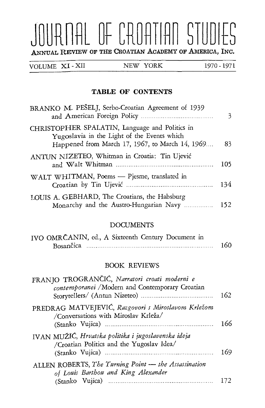# JURNAL OF CROATIAN STUDIES ANNUAL REVIEW OF THE CROATIAN ACADEMY OF AMERICA, INC.

VOLUME XI - XII

### TABLE OF CONTENTS

| BRANKO M. PEŠELJ, Serbo-Croatian Agreement of 1939                                                                                               | 3   |
|--------------------------------------------------------------------------------------------------------------------------------------------------|-----|
| CHRISTOPHER SPALATIN, Language and Politics in<br>Yugoslavia in the Light of the Events which<br>Happened from March 17, 1967, to March 14, 1969 | 83  |
| ANTUN NIZETEO, Whitman in Croatia: Tin Ujević                                                                                                    | 105 |
| WALT WHITMAN, Poems - Pjesme, translated in                                                                                                      | 134 |
| LOUIS A. GEBHARD, The Croatians, the Habsburg<br>Monarchy and the Austro-Hungarian Navy                                                          | 152 |

#### DOCUMENTS

| IVO OMRČANIN, ed., A Sixteenth Century Document in |     |
|----------------------------------------------------|-----|
| Bosančica                                          | 160 |

#### FRANJO TROGRANCIC, *Narratori croati moderni e*

| FRANJO TROGRANČIĆ, Narratori croati moderni e<br>contemporanei / Modern and Contemporary Croatian | 162 |
|---------------------------------------------------------------------------------------------------|-----|
| PREDRAG MATVEJEVIĆ, Razgovori s Miroslavom Krležom<br>/Conversations with Miroslav Krleža/        | 166 |
| IVAN MUŽIĆ, Hrvatska politika i jugoslavenska ideja<br>/Croatian Politics and the Yugoslav Idea/  | 169 |
| ALLEN ROBERTS, The Turning Point - the Assassination<br>of Louis Barthou and King Alexander       | 172 |